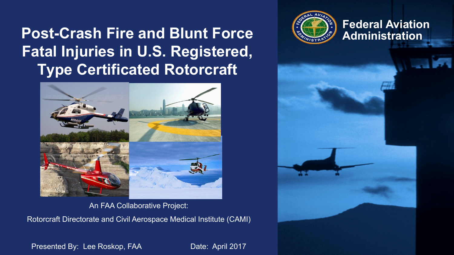#### **Federal Aviation**<br>**Post-Crash Fire and Blunt Force Administration Fatal Injuries in U.S. Registered, Type Certificated Rotorcraft**



An FAA Collaborative Project: Rotorcraft Directorate and Civil Aerospace Medical Institute (CAMI)



Presented By: Lee Roskop, FAA Date: April 2017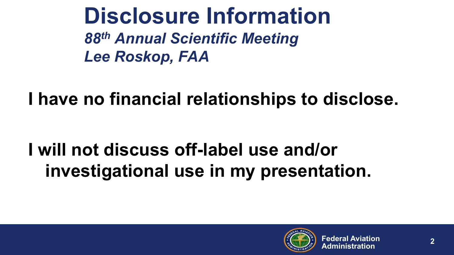**Disclosure Information** *88th Annual Scientific Meeting Lee Roskop, FAA*

**I have no financial relationships to disclose.**

### **I will not discuss off-label use and/or investigational use in my presentation.**

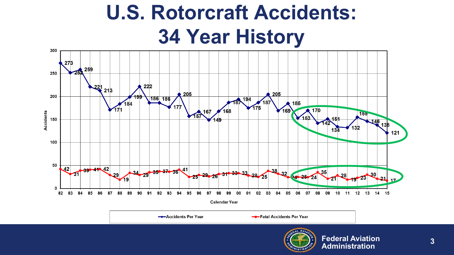## **U.S. Rotorcraft Accidents: 34 Year History**



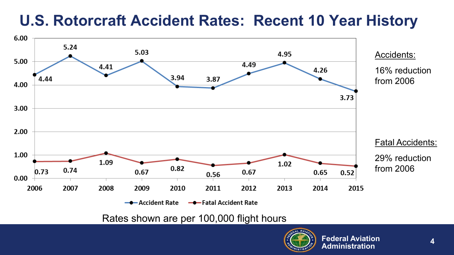#### **U.S. Rotorcraft Accident Rates: Recent 10 Year History**



Rates shown are per 100,000 flight hours

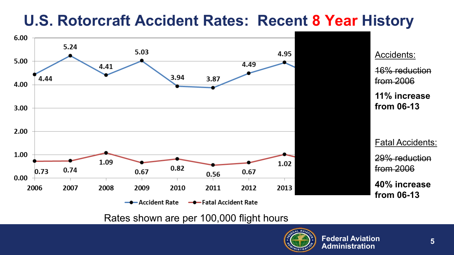#### **U.S. Rotorcraft Accident Rates: Recent 8 Year History**



Rates shown are per 100,000 flight hours

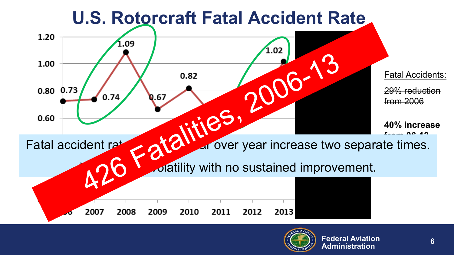

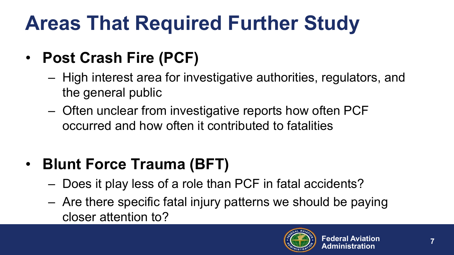## **Areas That Required Further Study**

- **Post Crash Fire (PCF)**
	- High interest area for investigative authorities, regulators, and the general public
	- Often unclear from investigative reports how often PCF occurred and how often it contributed to fatalities

#### • **Blunt Force Trauma (BFT)**

- Does it play less of a role than PCF in fatal accidents?
- Are there specific fatal injury patterns we should be paying closer attention to?

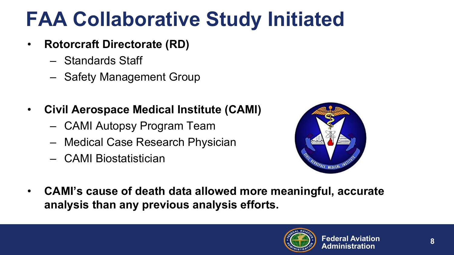## **FAA Collaborative Study Initiated**

- **Rotorcraft Directorate (RD)**
	- Standards Staff
	- Safety Management Group
- **Civil Aerospace Medical Institute (CAMI)**
	- CAMI Autopsy Program Team
	- Medical Case Research Physician
	- CAMI Biostatistician



• **CAMI's cause of death data allowed more meaningful, accurate analysis than any previous analysis efforts.**

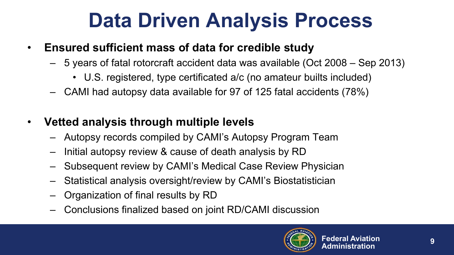### **Data Driven Analysis Process**

- **Ensured sufficient mass of data for credible study**
	- 5 years of fatal rotorcraft accident data was available (Oct 2008 Sep 2013)
		- U.S. registered, type certificated a/c (no amateur builts included)
	- CAMI had autopsy data available for 97 of 125 fatal accidents (78%)
- **Vetted analysis through multiple levels**
	- Autopsy records compiled by CAMI's Autopsy Program Team
	- Initial autopsy review & cause of death analysis by RD
	- Subsequent review by CAMI's Medical Case Review Physician
	- Statistical analysis oversight/review by CAMI's Biostatistician
	- Organization of final results by RD
	- Conclusions finalized based on joint RD/CAMI discussion

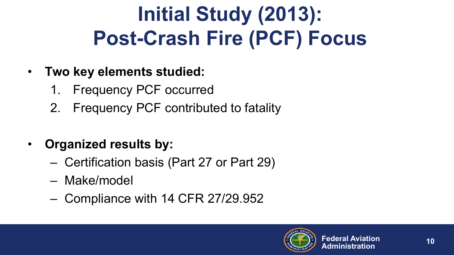## **Initial Study (2013): Post-Crash Fire (PCF) Focus**

- **Two key elements studied:**
	- 1. Frequency PCF occurred
	- 2. Frequency PCF contributed to fatality
- **Organized results by:** 
	- Certification basis (Part 27 or Part 29)
	- Make/model
	- Compliance with 14 CFR 27/29.952

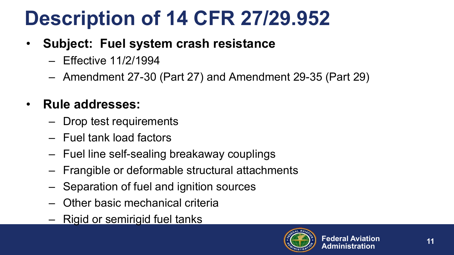## **Description of 14 CFR 27/29.952**

#### • **Subject: Fuel system crash resistance**

- Effective 11/2/1994
- Amendment 27-30 (Part 27) and Amendment 29-35 (Part 29)

#### • **Rule addresses:**

- Drop test requirements
- Fuel tank load factors
- Fuel line self-sealing breakaway couplings
- Frangible or deformable structural attachments
- Separation of fuel and ignition sources
- Other basic mechanical criteria
- Rigid or semirigid fuel tanks

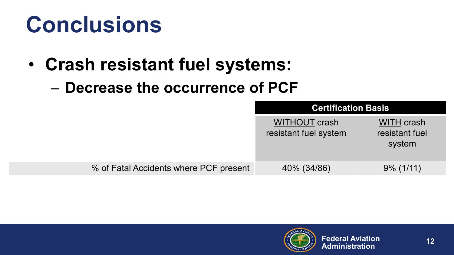## **Conclusions**

- **Crash resistant fuel systems:**
	- **Decrease the occurrence of PCF**

|                                        | <b>Certification Basis</b>                    |                                        |
|----------------------------------------|-----------------------------------------------|----------------------------------------|
|                                        | <b>WITHOUT crash</b><br>resistant fuel system | WITH crash<br>resistant fuel<br>system |
| % of Fatal Accidents where PCF present | 40% (34/86)                                   | $9\%$ (1/11)                           |

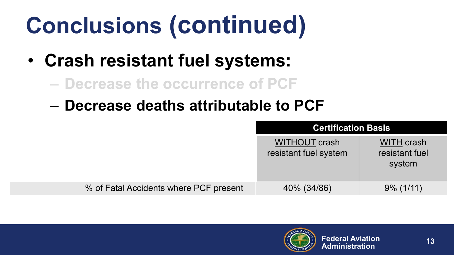- **Crash resistant fuel systems:**
	- **Decrease the occurrence of PCF**
	- **Decrease deaths attributable to PCF**

|                                        | <b>Certification Basis</b>             |                                        |
|----------------------------------------|----------------------------------------|----------------------------------------|
|                                        | WITHOUT crash<br>resistant fuel system | WITH crash<br>resistant fuel<br>system |
| % of Fatal Accidents where PCF present | 40% (34/86)                            | $9\%$ (1/11)                           |

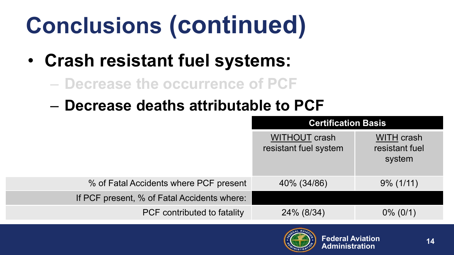- **Crash resistant fuel systems:**
	- **Decrease the occurrence of PCF**
	- **Decrease deaths attributable to PCF**

|                                             | <b>Certification Basis</b>                    |                                        |
|---------------------------------------------|-----------------------------------------------|----------------------------------------|
|                                             | <b>WITHOUT crash</b><br>resistant fuel system | WITH crash<br>resistant fuel<br>system |
| % of Fatal Accidents where PCF present      | 40% (34/86)                                   | $9\%$ (1/11)                           |
| If PCF present, % of Fatal Accidents where: |                                               |                                        |
| PCF contributed to fatality                 | 24% (8/34)                                    | $0\%$ (0/1)                            |

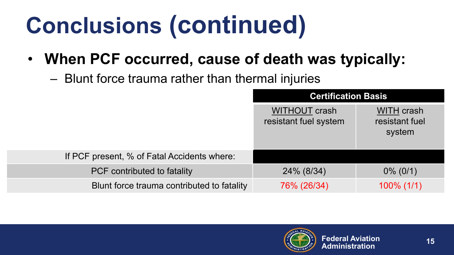#### • **When PCF occurred, cause of death was typically:**

– Blunt force trauma rather than thermal injuries

|                                             | <b>Certification Basis</b>             |                                        |
|---------------------------------------------|----------------------------------------|----------------------------------------|
|                                             | WITHOUT crash<br>resistant fuel system | WITH crash<br>resistant fuel<br>system |
| If PCF present, % of Fatal Accidents where: |                                        |                                        |
| PCF contributed to fatality                 | 24% (8/34)                             | $0\%$ (0/1)                            |
| Blunt force trauma contributed to fatality  | 76% (26/34)                            | $100\%$ (1/1)                          |

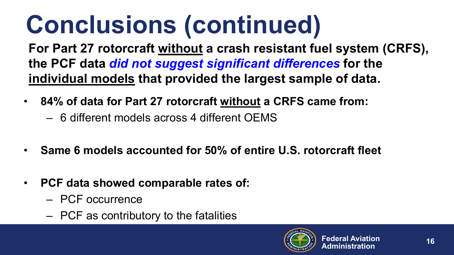**For Part 27 rotorcraft without a crash resistant fuel system (CRFS), the PCF data** *did not suggest significant differences* **for the individual models that provided the largest sample of data.**

- **84% of data for Part 27 rotorcraft without a CRFS came from:**
	- 6 different models across 4 different OEMS
- **Same 6 models accounted for 50% of entire U.S. rotorcraft fleet**
- **PCF data showed comparable rates of:**
	- PCF occurrence
	- PCF as contributory to the fatalities

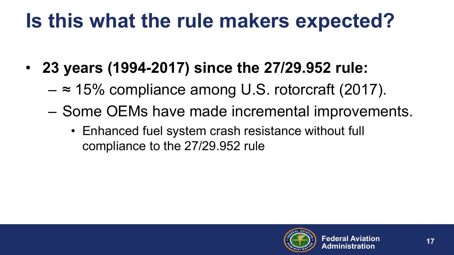### **Is this what the rule makers expected?**

- **23 years (1994-2017) since the 27/29.952 rule:**
	- $-$  ≈ 15% compliance among U.S. rotorcraft (2017).
	- Some OEMs have made incremental improvements.
		- Enhanced fuel system crash resistance without full compliance to the 27/29.952 rule

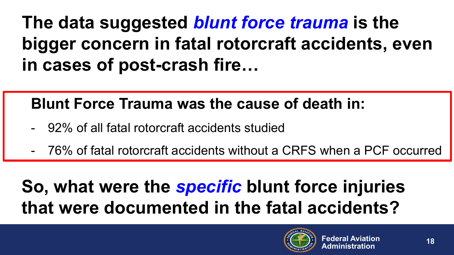### **The data suggested** *blunt force trauma* **is the bigger concern in fatal rotorcraft accidents, even in cases of post-crash fire…**

#### **Blunt Force Trauma was the cause of death in:**

- 92% of all fatal rotorcraft accidents studied
- 76% of fatal rotorcraft accidents without a CRFS when a PCF occurred

### **So, what were the** *specific* **blunt force injuries that were documented in the fatal accidents?**

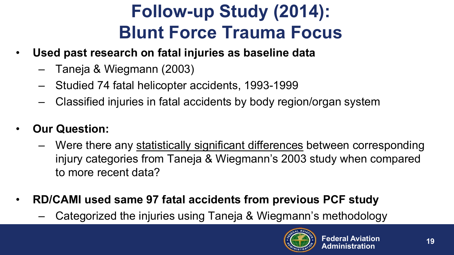### **Follow-up Study (2014): Blunt Force Trauma Focus**

- **Used past research on fatal injuries as baseline data**
	- Taneja & Wiegmann (2003)
	- Studied 74 fatal helicopter accidents, 1993-1999
	- Classified injuries in fatal accidents by body region/organ system
- **Our Question:**
	- Were there any statistically significant differences between corresponding injury categories from Taneja & Wiegmann's 2003 study when compared to more recent data?
- **RD/CAMI used same 97 fatal accidents from previous PCF study**
	- Categorized the injuries using Taneja & Wiegmann's methodology

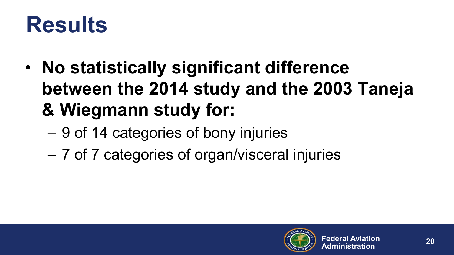## **Results**

- **No statistically significant difference between the 2014 study and the 2003 Taneja & Wiegmann study for:**
	- 9 of 14 categories of bony injuries
	- 7 of 7 categories of organ/visceral injuries

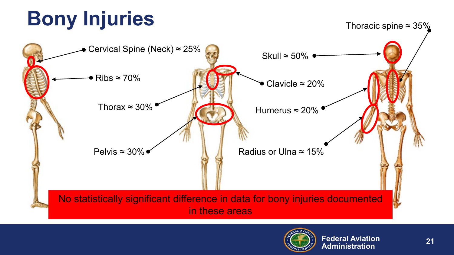## **Bony Injuries**





Thoracic spine  $\approx 35\%$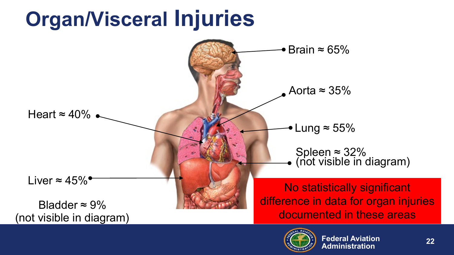

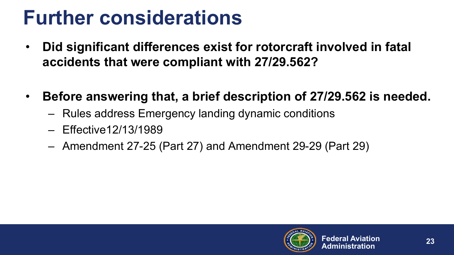### **Further considerations**

- **Did significant differences exist for rotorcraft involved in fatal accidents that were compliant with 27/29.562?**
- **Before answering that, a brief description of 27/29.562 is needed.**
	- Rules address Emergency landing dynamic conditions
	- Effective12/13/1989
	- Amendment 27-25 (Part 27) and Amendment 29-29 (Part 29)

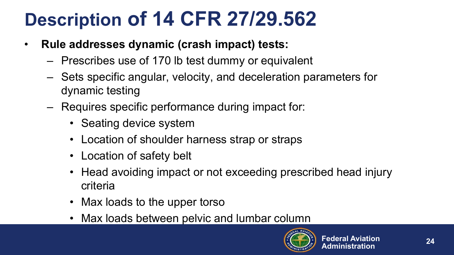### **Description of 14 CFR 27/29.562**

- **Rule addresses dynamic (crash impact) tests:**
	- Prescribes use of 170 lb test dummy or equivalent
	- Sets specific angular, velocity, and deceleration parameters for dynamic testing
	- Requires specific performance during impact for:
		- Seating device system
		- Location of shoulder harness strap or straps
		- Location of safety belt
		- Head avoiding impact or not exceeding prescribed head injury criteria
		- Max loads to the upper torso
		- Max loads between pelvic and lumbar column

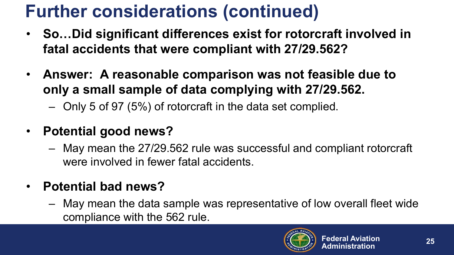### **Further considerations (continued)**

- **So…Did significant differences exist for rotorcraft involved in fatal accidents that were compliant with 27/29.562?**
- **Answer: A reasonable comparison was not feasible due to only a small sample of data complying with 27/29.562.**
	- Only 5 of 97 (5%) of rotorcraft in the data set complied.
- **Potential good news?**
	- May mean the 27/29.562 rule was successful and compliant rotorcraft were involved in fewer fatal accidents.
- **Potential bad news?**
	- May mean the data sample was representative of low overall fleet wide compliance with the 562 rule.

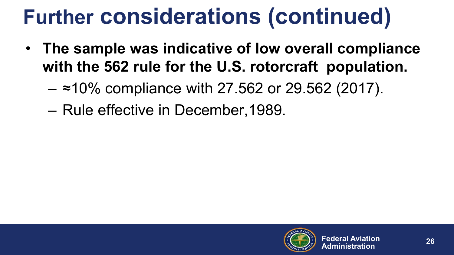## **Further considerations (continued)**

- **The sample was indicative of low overall compliance with the 562 rule for the U.S. rotorcraft population.**
	- $-$  ≈10% compliance with 27.562 or 29.562 (2017).
	- Rule effective in December,1989.

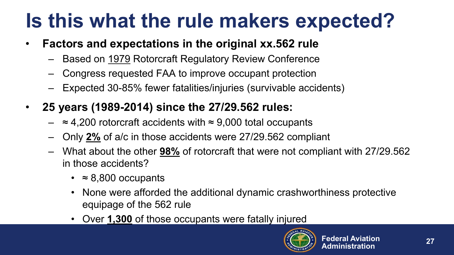### **Is this what the rule makers expected?**

- **Factors and expectations in the original xx.562 rule**
	- Based on 1979 Rotorcraft Regulatory Review Conference
	- Congress requested FAA to improve occupant protection
	- Expected 30-85% fewer fatalities/injuries (survivable accidents)
- **25 years (1989-2014) since the 27/29.562 rules:**
	- $\approx$  4,200 rotorcraft accidents with  $\approx$  9,000 total occupants
	- Only **2%** of a/c in those accidents were 27/29.562 compliant
	- What about the other **98%** of rotorcraft that were not compliant with 27/29.562 in those accidents?
		- $\cdot$   $\approx$  8,800 occupants
		- None were afforded the additional dynamic crashworthiness protective equipage of the 562 rule
		- Over **1,300** of those occupants were fatally injured

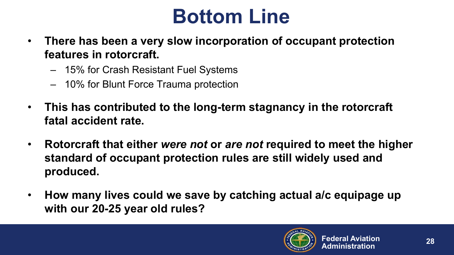### **Bottom Line**

- **There has been a very slow incorporation of occupant protection features in rotorcraft.**
	- 15% for Crash Resistant Fuel Systems
	- 10% for Blunt Force Trauma protection
- **This has contributed to the long-term stagnancy in the rotorcraft fatal accident rate.**
- **Rotorcraft that either** *were not* **or** *are not* **required to meet the higher standard of occupant protection rules are still widely used and produced.**
- **How many lives could we save by catching actual a/c equipage up with our 20-25 year old rules?**

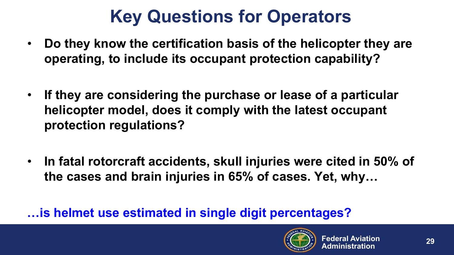### **Key Questions for Operators**

- **Do they know the certification basis of the helicopter they are operating, to include its occupant protection capability?**
- **If they are considering the purchase or lease of a particular helicopter model, does it comply with the latest occupant protection regulations?**
- **In fatal rotorcraft accidents, skull injuries were cited in 50% of the cases and brain injuries in 65% of cases. Yet, why…**

#### **…is helmet use estimated in single digit percentages?**